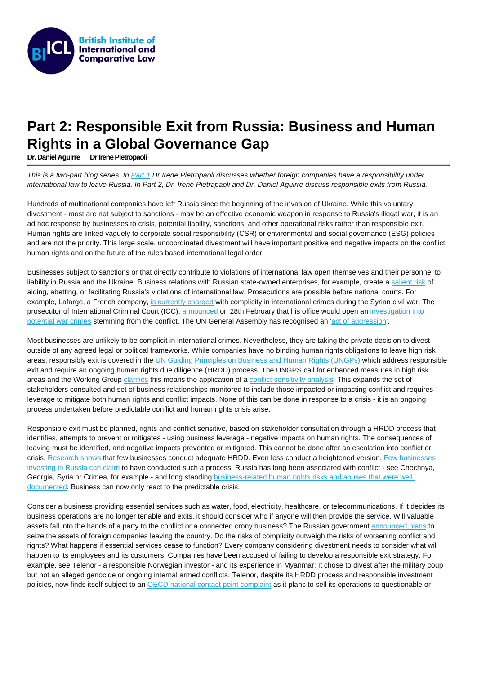## Part 2: Responsible Exit from Russia: Business and Human Rights in a Global Governance Gap

Dr. Daniel Aguirre [Dr Irene Pietropaoli](https://www.biicl.org/people/irene-pietropaoli)

This is a two-part blog series. In [Part 1](https://www.biicl.org/blog/33/do-foreign-companies-have-a-responsibility-under-international-law-to-leave-russia) Dr Irene Pietropaoli discusses whether foreign companies have a responsibility under international law to leave Russia. In Part 2, Dr. Irene Pietrapaoli and Dr. Daniel Aguirre discuss responsible exits from Russia.

Hundreds of multinational companies have left Russia since the beginning of the invasion of Ukraine. While this voluntary divestment - most are not subject to sanctions - may be an effective economic weapon in response to Russia's illegal war, it is an ad hoc response by businesses to crisis, potential liability, sanctions, and other operational risks rather than responsible exit. Human rights are linked vaguely to corporate social responsibility (CSR) or environmental and social governance (ESG) policies and are not the priority. This large scale, uncoordinated divestment will have important positive and negative impacts on the conflict, human rights and on the future of the rules based international legal order.

Businesses subject to sanctions or that directly contribute to violations of international law open themselves and their personnel to liability in Russia and the Ukraine. Business relations with Russian state-owned enterprises, for example, create a [salient risk](https://www.fidh.org/en/issues/globalisation-human-rights/business-and-human-rights/companies-operating-in-belarus-and-russia-must-avoid-contributing-to?var_mode=calcul) of aiding, abetting, or facilitating Russia's violations of international law. Prosecutions are possible before national courts. For example, Lafarge, a French company, [is currently charged](https://www.business-humanrights.org/en/latest-news/lafarge-lawsuit-re-complicity-in-crimes-against-humanity-in-syria/) with complicity in international crimes during the Syrian civil war. The prosecutor of International Criminal Court (ICC), [announced](https://www.icc-cpi.int/Pages/item.aspx?name=20220228-prosecutor-statement-ukraine) on 28th February that his office would open an investigation into [potential war crimes](https://www.lawfareblog.com/icc-investigates-situation-ukraine-jurisdiction-and-potential-implications) stemming from the conflict. The UN General Assembly has recognised an '[act of aggression](https://news.un.org/en/story/2022/03/1113152)'.

Most businesses are unlikely to be complicit in international crimes. Nevertheless, they are taking the private decision to divest outside of any agreed legal or political frameworks. While companies have no binding human rights obligations to leave high risk areas, responsibly exit is covered in the [UN Guiding Principles on Business and Human Rights \(UNGPs\)](https://www.ohchr.org/sites/default/files/documents/publications/guidingprinciplesbusinesshr_en.pdf) which address responsible exit and require an ongoing human rights due diligence (HRDD) process. The UNGPS call for enhanced measures in high risk areas and the Working Group [clarifies](https://undocs.org/en/A/75/212) this means the application of a [conflict sensitivity analysis](https://www.international-alert.org/publications/how-guide-conflict-sensitivity/). This expands the set of stakeholders consulted and set of business relationships monitored to include those impacted or impacting conflict and requires leverage to mitigate both human rights and conflict impacts. None of this can be done in response to a crisis - it is an ongoing process undertaken before predictable conflict and human rights crisis arise.

Responsible exit must be planned, rights and conflict sensitive, based on stakeholder consultation through a HRDD process that identifies, attempts to prevent or mitigates - using business leverage - negative impacts on human rights. The consequences of leaving must be identified, and negative impacts prevented or mitigated. This cannot be done after an escalation into conflict or crisis. [Research shows](https://www.biicl.org/projects/european-commission-study-on-due-diligence-in-supply-chains) that few businesses conduct adequate HRDD. Even less conduct a heightened version. [Few businesses](https://www.cambridge.org/core/blog/2022/03/09/russia-disinvestment-business-and-human-rights/)  [investing in Russia can claim](https://www.cambridge.org/core/blog/2022/03/09/russia-disinvestment-business-and-human-rights/) to have conducted such a process. Russia has long been associated with conflict - see Chechnya, Georgia, Syria or Crimea, for example - and long standing **business-related human rights risks and abuses that were well** [documented.](https://www.amnesty.org/en/wp-content/uploads/2021/09/eur460592002en.pdf) Business can now only react to the predictable crisis.

Consider a business providing essential services such as water, food, electricity, healthcare, or telecommunications. If it decides its business operations are no longer tenable and exits, it should consider who if anyone will then provide the service. Will valuable assets fall into the hands of a party to the conflict or a connected crony business? The Russian government [announced plans](https://www.theguardian.com/world/2022/mar/10/russia-plans-to-seize-assets-of-western-companies-exiting-country) to seize the assets of foreign companies leaving the country. Do the risks of complicity outweigh the risks of worsening conflict and rights? What happens if essential services cease to function? Every company considering divestment needs to consider what will happen to its employees and its customers. Companies have been accused of failing to develop a responsible exit strategy. For example, see Telenor - a responsible Norwegian investor - and its experience in Myanmar: It chose to divest after the military coup but not an alleged genocide or ongoing internal armed conflicts. Telenor, despite its HRDD process and responsible investment policies, now finds itself subject to an [OECD national contact point complaint](https://www.oecdwatch.org/complaint/somo-representing-474-myanmar-csos-vs-telenor-asa/) as it plans to sell its operations to questionable or